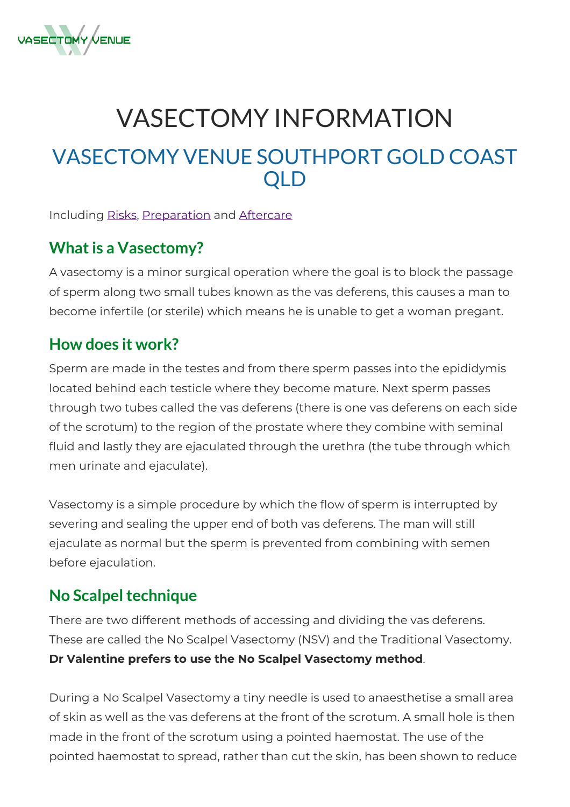

# VASECTOMY INFORMATION VASECTOMY VENUE SOUTHPORT GOLD COAST QLD

#### Including [Risks](#page-1-0), [Preparation](#page-3-0) and [Aftercare](#page-4-0)

#### **What is a Vasectomy?**

A vasectomy is a minor surgical operation where the goal is to block the passage of sperm along two small tubes known as the vas deferens, this causes a man to become infertile (or sterile) which means he is unable to get a woman pregant.

#### **How does it work?**

Sperm are made in the testes and from there sperm passes into the epididymis located behind each testicle where they become mature. Next sperm passes through two tubes called the vas deferens (there is one vas deferens on each side of the scrotum) to the region of the prostate where they combine with seminal fluid and lastly they are ejaculated through the urethra (the tube through which men urinate and ejaculate).

Vasectomy is a simple procedure by which the flow of sperm is interrupted by severing and sealing the upper end of both vas deferens. The man will still ejaculate as normal but the sperm is prevented from combining with semen before ejaculation.

#### **No Scalpel technique**

There are two different methods of accessing and dividing the vas deferens. These are called the No Scalpel Vasectomy (NSV) and the Traditional Vasectomy. **Dr Valentine prefers to use the No Scalpel Vasectomy method**.

During a No Scalpel Vasectomy a tiny needle is used to anaesthetise a small area of skin as well as the vas deferens at the front of the scrotum. A small hole is then made in the front of the scrotum using a pointed haemostat. The use of the pointed haemostat to spread, rather than cut the skin, has been shown to reduce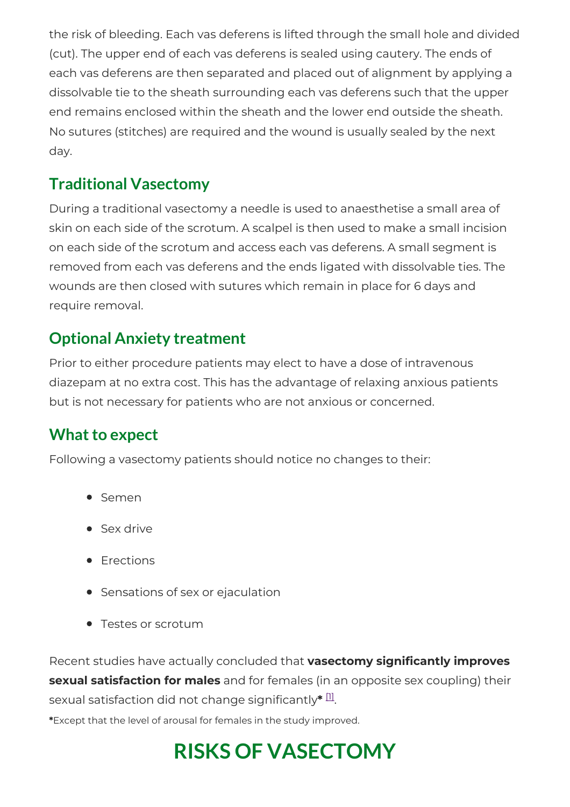the risk of bleeding. Each vas deferens is lifted through the small hole and divided (cut). The upper end of each vas deferens is sealed using cautery. The ends of each vas deferens are then separated and placed out of alignment by applying a dissolvable tie to the sheath surrounding each vas deferens such that the upper end remains enclosed within the sheath and the lower end outside the sheath. No sutures (stitches) are required and the wound is usually sealed by the next day.

### **Traditional Vasectomy**

During a traditional vasectomy a needle is used to anaesthetise a small area of skin on each side of the scrotum. A scalpel is then used to make a small incision on each side of the scrotum and access each vas deferens. A small segment is removed from each vas deferens and the ends ligated with dissolvable ties. The wounds are then closed with sutures which remain in place for 6 days and require removal.

### **Optional Anxiety treatment**

Prior to either procedure patients may elect to have a dose of intravenous diazepam at no extra cost. This has the advantage of relaxing anxious patients but is not necessary for patients who are not anxious or concerned.

### **What to expect**

Following a vasectomy patients should notice no changes to their:

- Semen
- Sex drive
- Erections
- Sensations of sex or ejaculation
- Testes or scrotum

Recent studies have actually concluded that **vasectomy significantly improves sexual satisfaction for males** and for females (in an opposite sex coupling) their sexual satisfaction did not change significantly ${}^{\textstyle *}$   ${}^{\textstyle\Box}.$ 

<span id="page-1-0"></span>**\***Except that the level of arousal for females in the study improved.

## **RISKS OF VASECTOMY**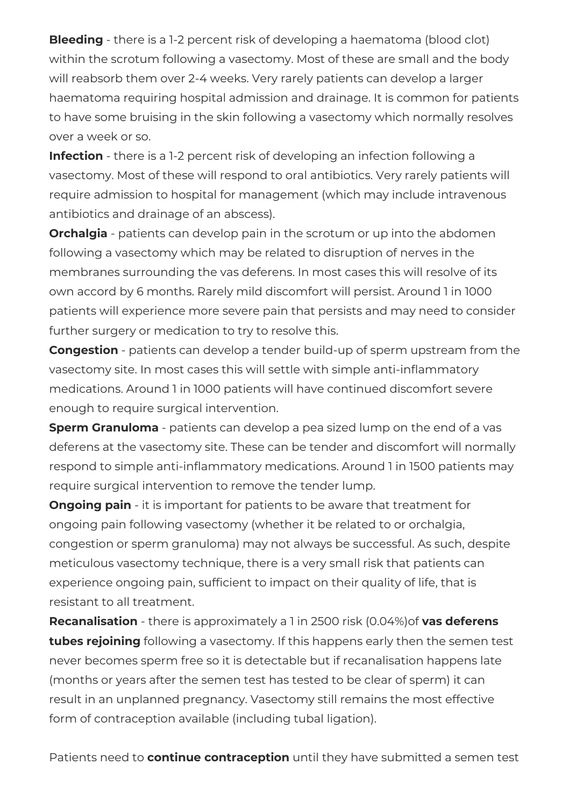**Bleeding** - there is a 1-2 percent risk of developing a haematoma (blood clot) within the scrotum following a vasectomy. Most of these are small and the body will reabsorb them over 2-4 weeks. Very rarely patients can develop a larger haematoma requiring hospital admission and drainage. It is common for patients to have some bruising in the skin following a vasectomy which normally resolves over a week or so.

**Infection** - there is a 1-2 percent risk of developing an infection following a vasectomy. Most of these will respond to oral antibiotics. Very rarely patients will require admission to hospital for management (which may include intravenous antibiotics and drainage of an abscess).

**Orchalgia** - patients can develop pain in the scrotum or up into the abdomen following a vasectomy which may be related to disruption of nerves in the membranes surrounding the vas deferens. In most cases this will resolve of its own accord by 6 months. Rarely mild discomfort will persist. Around 1 in 1000 patients will experience more severe pain that persists and may need to consider further surgery or medication to try to resolve this.

**Congestion** - patients can develop a tender build-up of sperm upstream from the vasectomy site. In most cases this will settle with simple anti-inflammatory medications. Around 1 in 1000 patients will have continued discomfort severe enough to require surgical intervention.

**Sperm Granuloma** - patients can develop a pea sized lump on the end of a vas deferens at the vasectomy site. These can be tender and discomfort will normally respond to simple anti-inflammatory medications. Around 1 in 1500 patients may require surgical intervention to remove the tender lump.

**Ongoing pain** - it is important for patients to be aware that treatment for ongoing pain following vasectomy (whether it be related to or orchalgia, congestion or sperm granuloma) may not always be successful. As such, despite meticulous vasectomy technique, there is a very small risk that patients can experience ongoing pain, sufficient to impact on their quality of life, that is resistant to all treatment.

**Recanalisation** - there is approximately a 1 in 2500 risk (0.04%)of **vas deferens tubes rejoining** following a vasectomy. If this happens early then the semen test never becomes sperm free so it is detectable but if recanalisation happens late (months or years after the semen test has tested to be clear of sperm) it can result in an unplanned pregnancy. Vasectomy still remains the most effective form of contraception available (including tubal ligation).

Patients need to **continue contraception** until they have submitted a semen test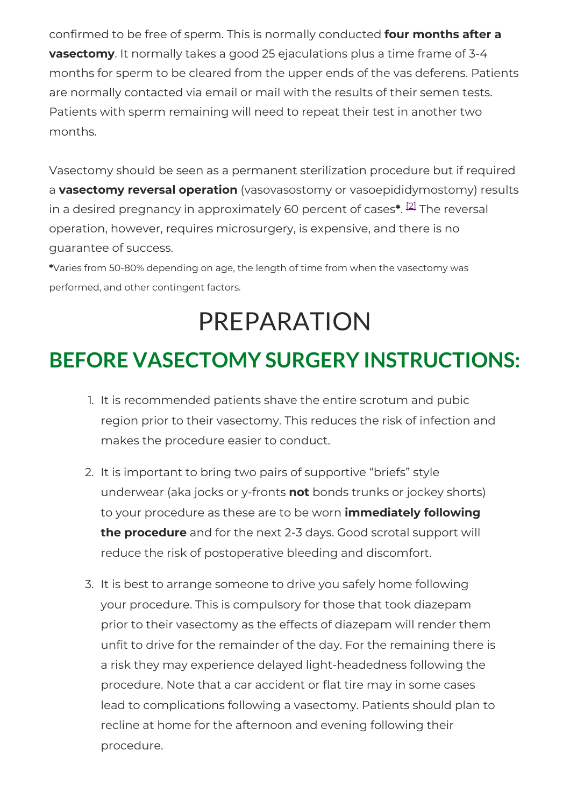confirmed to be free of sperm. This is normally conducted **four months after a vasectomy**. It normally takes a good 25 ejaculations plus a time frame of 3-4 months for sperm to be cleared from the upper ends of the vas deferens. Patients are normally contacted via email or mail with the results of their semen tests. Patients with sperm remaining will need to repeat their test in another two months.

Vasectomy should be seen as a permanent sterilization procedure but if required a **vasectomy reversal operation** (vasovasostomy or vasoepididymostomy) results in a desired pregnancy in approximately 60 percent of cases\*. <sup>[\[2\]](#page-6-0)</sup> The reversal operation, however, requires microsurgery, is expensive, and there is no guarantee of success.

**\***Varies from 50-80% depending on age, the length of time from when the vasectomy was performed, and other contingent factors.

# PREPARATION

## <span id="page-3-0"></span>**BEFORE VASECTOMY SURGERY INSTRUCTIONS:**

- 1. It is recommended patients shave the entire scrotum and pubic region prior to their vasectomy. This reduces the risk of infection and makes the procedure easier to conduct.
- 2. It is important to bring two pairs of supportive "briefs" style underwear (aka jocks or y-fronts **not** bonds trunks or jockey shorts) to your procedure as these are to be worn **immediately following the procedure** and for the next 2-3 days. Good scrotal support will reduce the risk of postoperative bleeding and discomfort.
- 3. It is best to arrange someone to drive you safely home following your procedure. This is compulsory for those that took diazepam prior to their vasectomy as the effects of diazepam will render them unfit to drive for the remainder of the day. For the remaining there is a risk they may experience delayed light-headedness following the procedure. Note that a car accident or flat tire may in some cases lead to complications following a vasectomy. Patients should plan to recline at home for the afternoon and evening following their procedure.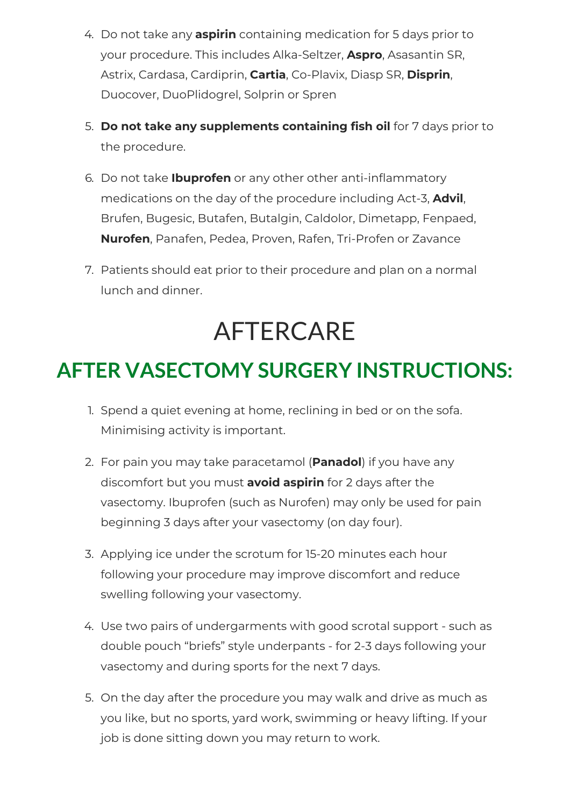- 4. Do not take any **aspirin** containing medication for 5 days prior to your procedure. This includes Alka-Seltzer, **Aspro**, Asasantin SR, Astrix, Cardasa, Cardiprin, **Cartia**, Co-Plavix, Diasp SR, **Disprin**, Duocover, DuoPlidogrel, Solprin or Spren
- 5. **Do not take any supplements containing fish oil** for 7 days prior to the procedure.
- 6. Do not take **Ibuprofen** or any other other anti-inflammatory medications on the day of the procedure including Act-3, **Advil**, Brufen, Bugesic, Butafen, Butalgin, Caldolor, Dimetapp, Fenpaed, **Nurofen**, Panafen, Pedea, Proven, Rafen, Tri-Profen or Zavance
- 7. Patients should eat prior to their procedure and plan on a normal lunch and dinner.

# AFTERCARE

### <span id="page-4-0"></span>**AFTER VASECTOMY SURGERY INSTRUCTIONS:**

- 1. Spend a quiet evening at home, reclining in bed or on the sofa. Minimising activity is important.
- 2. For pain you may take paracetamol (**Panadol**) if you have any discomfort but you must **avoid aspirin** for 2 days after the vasectomy. Ibuprofen (such as Nurofen) may only be used for pain beginning 3 days after your vasectomy (on day four).
- 3. Applying ice under the scrotum for 15-20 minutes each hour following your procedure may improve discomfort and reduce swelling following your vasectomy.
- 4. Use two pairs of undergarments with good scrotal support such as double pouch "briefs" style underpants - for 2-3 days following your vasectomy and during sports for the next 7 days.
- 5. On the day after the procedure you may walk and drive as much as you like, but no sports, yard work, swimming or heavy lifting. If your job is done sitting down you may return to work.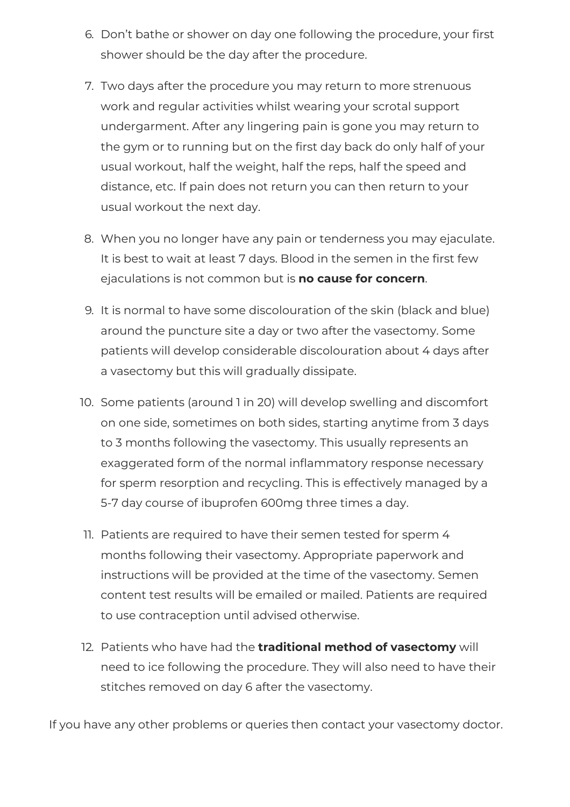- 6. Don't bathe or shower on day one following the procedure, your first shower should be the day after the procedure.
- 7. Two days after the procedure you may return to more strenuous work and regular activities whilst wearing your scrotal support undergarment. After any lingering pain is gone you may return to the gym or to running but on the first day back do only half of your usual workout, half the weight, half the reps, half the speed and distance, etc. If pain does not return you can then return to your usual workout the next day.
- 8. When you no longer have any pain or tenderness you may ejaculate. It is best to wait at least 7 days. Blood in the semen in the first few ejaculations is not common but is **no cause for concern**.
- 9. It is normal to have some discolouration of the skin (black and blue) around the puncture site a day or two after the vasectomy. Some patients will develop considerable discolouration about 4 days after a vasectomy but this will gradually dissipate.
- 10. Some patients (around 1 in 20) will develop swelling and discomfort on one side, sometimes on both sides, starting anytime from 3 days to 3 months following the vasectomy. This usually represents an exaggerated form of the normal inflammatory response necessary for sperm resorption and recycling. This is effectively managed by a 5-7 day course of ibuprofen 600mg three times a day.
- 11. Patients are required to have their semen tested for sperm 4 months following their vasectomy. Appropriate paperwork and instructions will be provided at the time of the vasectomy. Semen content test results will be emailed or mailed. Patients are required to use contraception until advised otherwise.
- 12. Patients who have had the **traditional method of vasectomy** will need to ice following the procedure. They will also need to have their stitches removed on day 6 after the vasectomy.

If you have any other problems or queries then contact your vasectomy doctor.